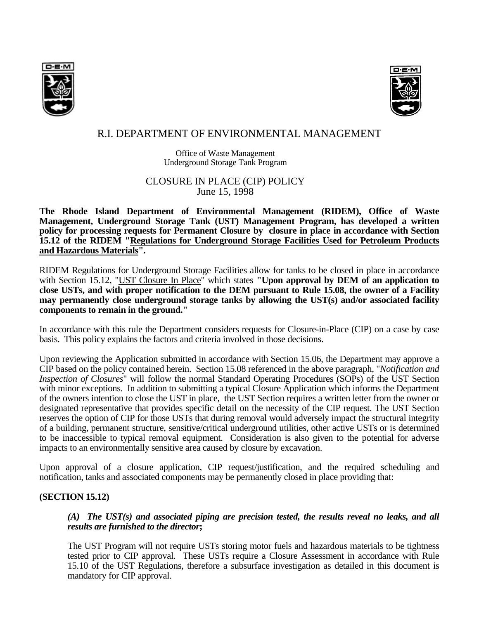



# R.I. DEPARTMENT OF ENVIRONMENTAL MANAGEMENT

Office of Waste Management Underground Storage Tank Program

# CLOSURE IN PLACE (CIP) POLICY June 15, 1998

**The Rhode Island Department of Environmental Management (RIDEM), Office of Waste Management, Underground Storage Tank (UST) Management Program, has developed a written policy for processing requests for Permanent Closure by closure in place in accordance with Section 15.12 of the RIDEM "Regulations for Underground Storage Facilities Used for Petroleum Products and Hazardous Materials".**

RIDEM Regulations for Underground Storage Facilities allow for tanks to be closed in place in accordance with Section 15.12, "UST Closure In Place" which states **"Upon approval by DEM of an application to close USTs, and with proper notification to the DEM pursuant to Rule 15.08, the owner of a Facility may permanently close underground storage tanks by allowing the UST(s) and/or associated facility components to remain in the ground."**

In accordance with this rule the Department considers requests for Closure-in-Place (CIP) on a case by case basis. This policy explains the factors and criteria involved in those decisions.

Upon reviewing the Application submitted in accordance with Section 15.06, the Department may approve a CIP based on the policy contained herein. Section 15.08 referenced in the above paragraph, "*Notification and Inspection of Closures*" will follow the normal Standard Operating Procedures (SOPs) of the UST Section with minor exceptions. In addition to submitting a typical Closure Application which informs the Department of the owners intention to close the UST in place, the UST Section requires a written letter from the owner or designated representative that provides specific detail on the necessity of the CIP request. The UST Section reserves the option of CIP for those USTs that during removal would adversely impact the structural integrity of a building, permanent structure, sensitive/critical underground utilities, other active USTs or is determined to be inaccessible to typical removal equipment. Consideration is also given to the potential for adverse impacts to an environmentally sensitive area caused by closure by excavation.

Upon approval of a closure application, CIP request/justification, and the required scheduling and notification, tanks and associated components may be permanently closed in place providing that:

# **(SECTION 15.12)**

### *(A) The UST(s) and associated piping are precision tested, the results reveal no leaks, and all results are furnished to the director***;**

The UST Program will not require USTs storing motor fuels and hazardous materials to be tightness tested prior to CIP approval. These USTs require a Closure Assessment in accordance with Rule 15.10 of the UST Regulations, therefore a subsurface investigation as detailed in this document is mandatory for CIP approval.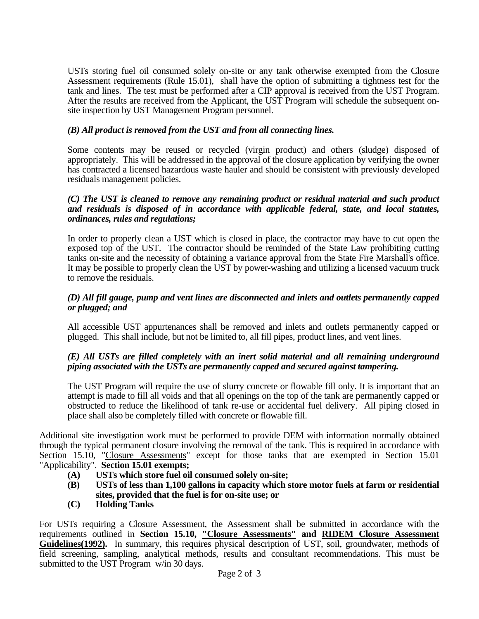USTs storing fuel oil consumed solely on-site or any tank otherwise exempted from the Closure Assessment requirements (Rule 15.01), shall have the option of submitting a tightness test for the tank and lines. The test must be performed after a CIP approval is received from the UST Program. After the results are received from the Applicant, the UST Program will schedule the subsequent onsite inspection by UST Management Program personnel.

# *(B) All product is removed from the UST and from all connecting lines.*

Some contents may be reused or recycled (virgin product) and others (sludge) disposed of appropriately. This will be addressed in the approval of the closure application by verifying the owner has contracted a licensed hazardous waste hauler and should be consistent with previously developed residuals management policies.

### *(C) The UST is cleaned to remove any remaining product or residual material and such product and residuals is disposed of in accordance with applicable federal, state, and local statutes, ordinances, rules and regulations;*

In order to properly clean a UST which is closed in place, the contractor may have to cut open the exposed top of the UST. The contractor should be reminded of the State Law prohibiting cutting tanks on-site and the necessity of obtaining a variance approval from the State Fire Marshall's office. It may be possible to properly clean the UST by power-washing and utilizing a licensed vacuum truck to remove the residuals.

# *(D) All fill gauge, pump and vent lines are disconnected and inlets and outlets permanently capped or plugged; and*

All accessible UST appurtenances shall be removed and inlets and outlets permanently capped or plugged. This shall include, but not be limited to, all fill pipes, product lines, and vent lines.

# *(E) All USTs are filled completely with an inert solid material and all remaining underground piping associated with the USTs are permanently capped and secured against tampering.*

The UST Program will require the use of slurry concrete or flowable fill only. It is important that an attempt is made to fill all voids and that all openings on the top of the tank are permanently capped or obstructed to reduce the likelihood of tank re-use or accidental fuel delivery. All piping closed in place shall also be completely filled with concrete or flowable fill.

Additional site investigation work must be performed to provide DEM with information normally obtained through the typical permanent closure involving the removal of the tank. This is required in accordance with Section 15.10, "Closure Assessments" except for those tanks that are exempted in Section 15.01 "Applicability". **Section 15.01 exempts;**

- **(A) USTs which store fuel oil consumed solely on-site;**
- **(B) USTs of less than 1,100 gallons in capacity which store motor fuels at farm or residential sites, provided that the fuel is for on-site use; or**
- **(C) Holding Tanks**

For USTs requiring a Closure Assessment, the Assessment shall be submitted in accordance with the requirements outlined in **Section 15.10, "Closure Assessments" and RIDEM Closure Assessment**  Guidelines(1992). In summary, this requires physical description of UST, soil, groundwater, methods of field screening, sampling, analytical methods, results and consultant recommendations. This must be submitted to the UST Program w/in 30 days.